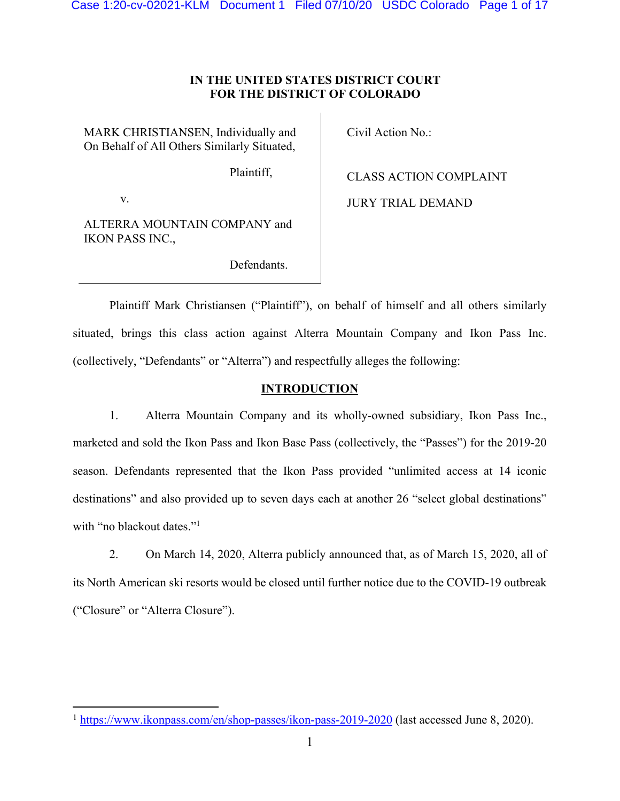## **IN THE UNITED STATES DISTRICT COURT FOR THE DISTRICT OF COLORADO**

MARK CHRISTIANSEN, Individually and On Behalf of All Others Similarly Situated,

Civil Action No.:

Plaintiff,

CLASS ACTION COMPLAINT

JURY TRIAL DEMAND

v.

ALTERRA MOUNTAIN COMPANY and IKON PASS INC.,

Defendants.

Plaintiff Mark Christiansen ("Plaintiff"), on behalf of himself and all others similarly situated, brings this class action against Alterra Mountain Company and Ikon Pass Inc. (collectively, "Defendants" or "Alterra") and respectfully alleges the following:

## **INTRODUCTION**

1. Alterra Mountain Company and its wholly-owned subsidiary, Ikon Pass Inc., marketed and sold the Ikon Pass and Ikon Base Pass (collectively, the "Passes") for the 2019-20 season. Defendants represented that the Ikon Pass provided "unlimited access at 14 iconic destinations" and also provided up to seven days each at another 26 "select global destinations" with "no blackout dates."<sup>1</sup>

2. On March 14, 2020, Alterra publicly announced that, as of March 15, 2020, all of its North American ski resorts would be closed until further notice due to the COVID-19 outbreak ("Closure" or "Alterra Closure").

<sup>&</sup>lt;sup>1</sup> https://www.ikonpass.com/en/shop-passes/ikon-pass-2019-2020 (last accessed June 8, 2020).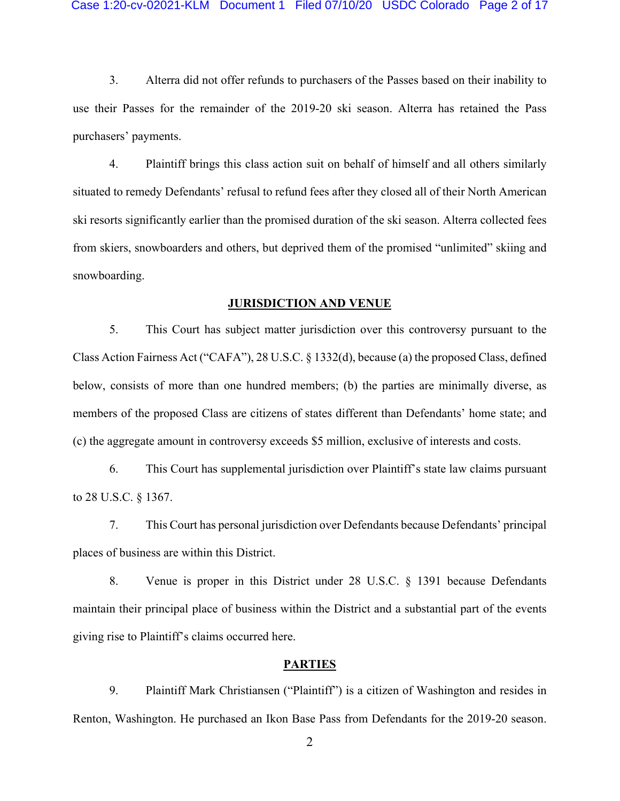3. Alterra did not offer refunds to purchasers of the Passes based on their inability to use their Passes for the remainder of the 2019-20 ski season. Alterra has retained the Pass purchasers' payments.

4. Plaintiff brings this class action suit on behalf of himself and all others similarly situated to remedy Defendants' refusal to refund fees after they closed all of their North American ski resorts significantly earlier than the promised duration of the ski season. Alterra collected fees from skiers, snowboarders and others, but deprived them of the promised "unlimited" skiing and snowboarding.

### **JURISDICTION AND VENUE**

5. This Court has subject matter jurisdiction over this controversy pursuant to the Class Action Fairness Act ("CAFA"), 28 U.S.C. § 1332(d), because (a) the proposed Class, defined below, consists of more than one hundred members; (b) the parties are minimally diverse, as members of the proposed Class are citizens of states different than Defendants' home state; and (c) the aggregate amount in controversy exceeds \$5 million, exclusive of interests and costs.

6. This Court has supplemental jurisdiction over Plaintiff's state law claims pursuant to 28 U.S.C. § 1367.

7. This Court has personal jurisdiction over Defendants because Defendants' principal places of business are within this District.

8. Venue is proper in this District under 28 U.S.C. § 1391 because Defendants maintain their principal place of business within the District and a substantial part of the events giving rise to Plaintiff's claims occurred here.

### **PARTIES**

9. Plaintiff Mark Christiansen ("Plaintiff") is a citizen of Washington and resides in Renton, Washington. He purchased an Ikon Base Pass from Defendants for the 2019-20 season.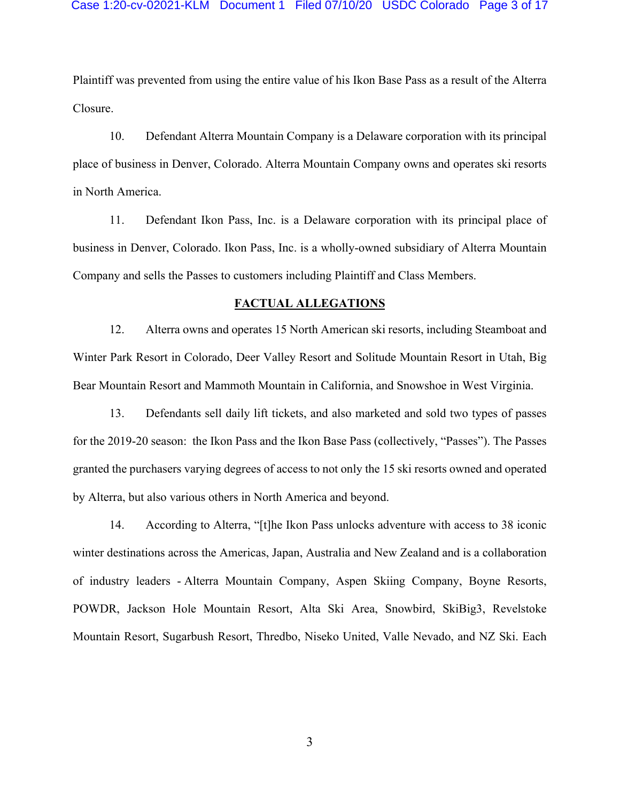Plaintiff was prevented from using the entire value of his Ikon Base Pass as a result of the Alterra Closure.

10. Defendant Alterra Mountain Company is a Delaware corporation with its principal place of business in Denver, Colorado. Alterra Mountain Company owns and operates ski resorts in North America.

11. Defendant Ikon Pass, Inc. is a Delaware corporation with its principal place of business in Denver, Colorado. Ikon Pass, Inc. is a wholly-owned subsidiary of Alterra Mountain Company and sells the Passes to customers including Plaintiff and Class Members.

### **FACTUAL ALLEGATIONS**

12. Alterra owns and operates 15 North American ski resorts, including Steamboat and Winter Park Resort in Colorado, Deer Valley Resort and Solitude Mountain Resort in Utah, Big Bear Mountain Resort and Mammoth Mountain in California, and Snowshoe in West Virginia.

13. Defendants sell daily lift tickets, and also marketed and sold two types of passes for the 2019-20 season: the Ikon Pass and the Ikon Base Pass (collectively, "Passes"). The Passes granted the purchasers varying degrees of access to not only the 15 ski resorts owned and operated by Alterra, but also various others in North America and beyond.

14. According to Alterra, "[t]he Ikon Pass unlocks adventure with access to 38 iconic winter destinations across the Americas, Japan, Australia and New Zealand and is a collaboration of industry leaders - Alterra Mountain Company, Aspen Skiing Company, Boyne Resorts, POWDR, Jackson Hole Mountain Resort, Alta Ski Area, Snowbird, SkiBig3, Revelstoke Mountain Resort, Sugarbush Resort, Thredbo, Niseko United, Valle Nevado, and NZ Ski. Each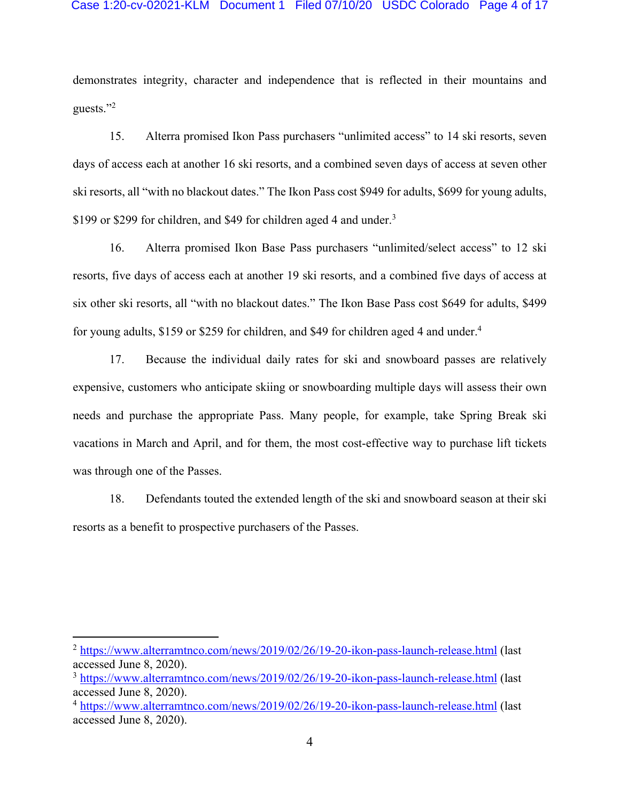### Case 1:20-cv-02021-KLM Document 1 Filed 07/10/20 USDC Colorado Page 4 of 17

demonstrates integrity, character and independence that is reflected in their mountains and guests."2

15. Alterra promised Ikon Pass purchasers "unlimited access" to 14 ski resorts, seven days of access each at another 16 ski resorts, and a combined seven days of access at seven other ski resorts, all "with no blackout dates." The Ikon Pass cost \$949 for adults, \$699 for young adults, \$199 or \$299 for children, and \$49 for children aged 4 and under.<sup>3</sup>

16. Alterra promised Ikon Base Pass purchasers "unlimited/select access" to 12 ski resorts, five days of access each at another 19 ski resorts, and a combined five days of access at six other ski resorts, all "with no blackout dates." The Ikon Base Pass cost \$649 for adults, \$499 for young adults, \$159 or \$259 for children, and \$49 for children aged 4 and under.<sup>4</sup>

17. Because the individual daily rates for ski and snowboard passes are relatively expensive, customers who anticipate skiing or snowboarding multiple days will assess their own needs and purchase the appropriate Pass. Many people, for example, take Spring Break ski vacations in March and April, and for them, the most cost-effective way to purchase lift tickets was through one of the Passes.

18. Defendants touted the extended length of the ski and snowboard season at their ski resorts as a benefit to prospective purchasers of the Passes.

<sup>&</sup>lt;sup>2</sup> https://www.alterramtnco.com/news/2019/02/26/19-20-ikon-pass-launch-release.html (last accessed June 8, 2020).

<sup>3</sup> https://www.alterramtnco.com/news/2019/02/26/19-20-ikon-pass-launch-release.html (last accessed June 8, 2020).

<sup>4</sup> https://www.alterramtnco.com/news/2019/02/26/19-20-ikon-pass-launch-release.html (last accessed June 8, 2020).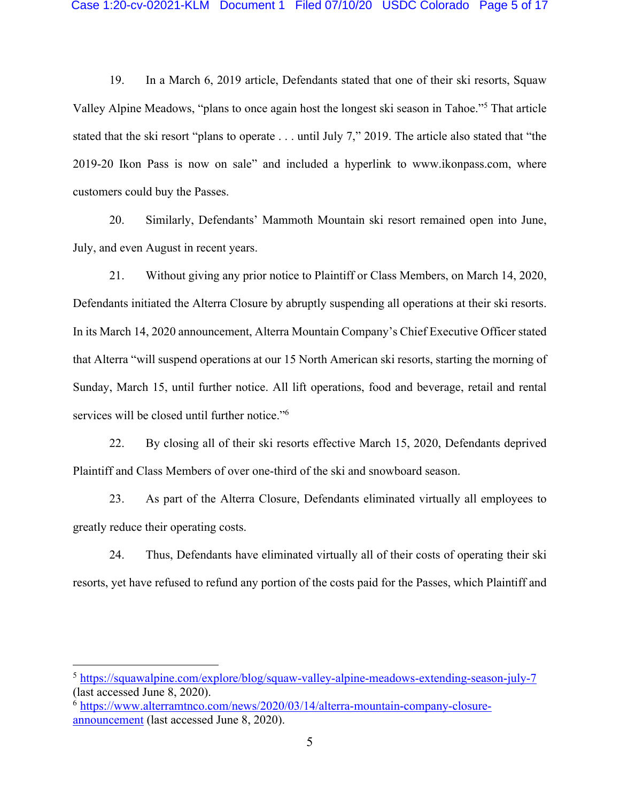19. In a March 6, 2019 article, Defendants stated that one of their ski resorts, Squaw Valley Alpine Meadows, "plans to once again host the longest ski season in Tahoe."5 That article stated that the ski resort "plans to operate . . . until July 7," 2019. The article also stated that "the 2019-20 Ikon Pass is now on sale" and included a hyperlink to www.ikonpass.com, where customers could buy the Passes.

20. Similarly, Defendants' Mammoth Mountain ski resort remained open into June, July, and even August in recent years.

21. Without giving any prior notice to Plaintiff or Class Members, on March 14, 2020, Defendants initiated the Alterra Closure by abruptly suspending all operations at their ski resorts. In its March 14, 2020 announcement, Alterra Mountain Company's Chief Executive Officer stated that Alterra "will suspend operations at our 15 North American ski resorts, starting the morning of Sunday, March 15, until further notice. All lift operations, food and beverage, retail and rental services will be closed until further notice."6

22. By closing all of their ski resorts effective March 15, 2020, Defendants deprived Plaintiff and Class Members of over one-third of the ski and snowboard season.

23. As part of the Alterra Closure, Defendants eliminated virtually all employees to greatly reduce their operating costs.

24. Thus, Defendants have eliminated virtually all of their costs of operating their ski resorts, yet have refused to refund any portion of the costs paid for the Passes, which Plaintiff and

<sup>5</sup> https://squawalpine.com/explore/blog/squaw-valley-alpine-meadows-extending-season-july-7 (last accessed June 8, 2020).

<sup>6</sup> https://www.alterramtnco.com/news/2020/03/14/alterra-mountain-company-closureannouncement (last accessed June 8, 2020).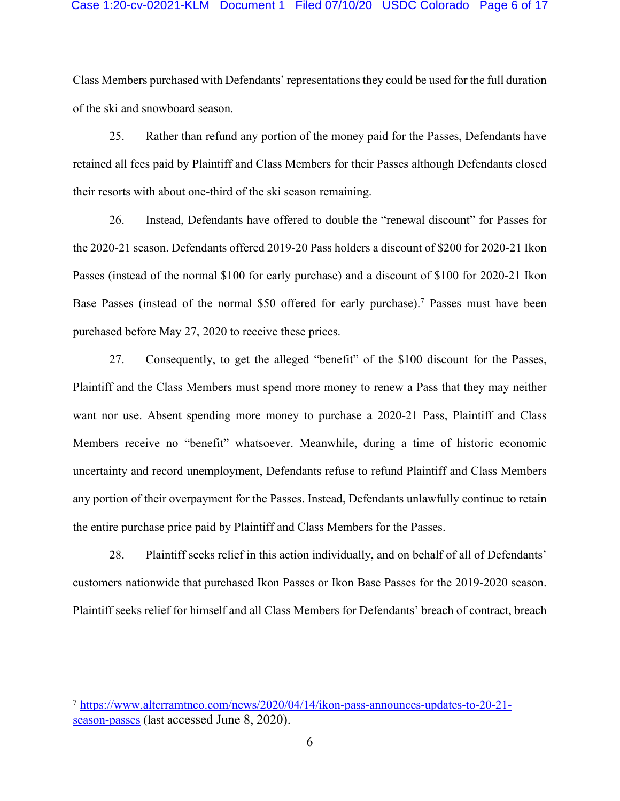### Case 1:20-cv-02021-KLM Document 1 Filed 07/10/20 USDC Colorado Page 6 of 17

Class Members purchased with Defendants' representations they could be used for the full duration of the ski and snowboard season.

25. Rather than refund any portion of the money paid for the Passes, Defendants have retained all fees paid by Plaintiff and Class Members for their Passes although Defendants closed their resorts with about one-third of the ski season remaining.

26. Instead, Defendants have offered to double the "renewal discount" for Passes for the 2020-21 season. Defendants offered 2019-20 Pass holders a discount of \$200 for 2020-21 Ikon Passes (instead of the normal \$100 for early purchase) and a discount of \$100 for 2020-21 Ikon Base Passes (instead of the normal \$50 offered for early purchase). <sup>7</sup> Passes must have been purchased before May 27, 2020 to receive these prices.

27. Consequently, to get the alleged "benefit" of the \$100 discount for the Passes, Plaintiff and the Class Members must spend more money to renew a Pass that they may neither want nor use. Absent spending more money to purchase a 2020-21 Pass, Plaintiff and Class Members receive no "benefit" whatsoever. Meanwhile, during a time of historic economic uncertainty and record unemployment, Defendants refuse to refund Plaintiff and Class Members any portion of their overpayment for the Passes. Instead, Defendants unlawfully continue to retain the entire purchase price paid by Plaintiff and Class Members for the Passes.

28. Plaintiff seeks relief in this action individually, and on behalf of all of Defendants' customers nationwide that purchased Ikon Passes or Ikon Base Passes for the 2019-2020 season. Plaintiff seeks relief for himself and all Class Members for Defendants' breach of contract, breach

<sup>7</sup> https://www.alterramtnco.com/news/2020/04/14/ikon-pass-announces-updates-to-20-21 season-passes (last accessed June 8, 2020).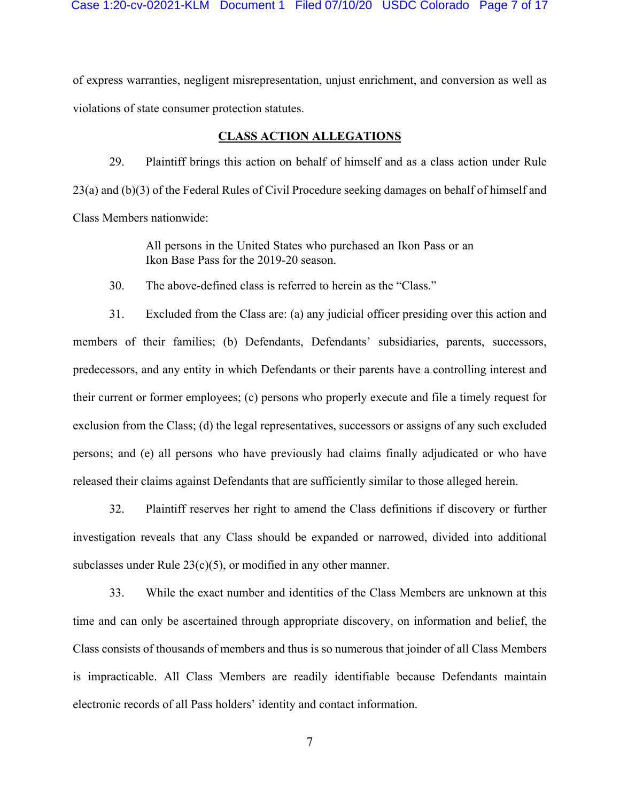Case 1:20-cv-02021-KLM Document 1 Filed 07/10/20 USDC Colorado Page 7 of 17

of express warranties, negligent misrepresentation, unjust enrichment, and conversion as well as violations of state consumer protection statutes.

### **CLASS ACTION ALLEGATIONS**

29. Plaintiff brings this action on behalf of himself and as a class action under Rule 23(a) and (b)(3) of the Federal Rules of Civil Procedure seeking damages on behalf of himself and Class Members nationwide:

> All persons in the United States who purchased an Ikon Pass or an Ikon Base Pass for the 2019-20 season.

30. The above-defined class is referred to herein as the "Class."

31. Excluded from the Class are: (a) any judicial officer presiding over this action and members of their families; (b) Defendants, Defendants' subsidiaries, parents, successors, predecessors, and any entity in which Defendants or their parents have a controlling interest and their current or former employees; (c) persons who properly execute and file a timely request for exclusion from the Class; (d) the legal representatives, successors or assigns of any such excluded persons; and (e) all persons who have previously had claims finally adjudicated or who have released their claims against Defendants that are sufficiently similar to those alleged herein.

32. Plaintiff reserves her right to amend the Class definitions if discovery or further investigation reveals that any Class should be expanded or narrowed, divided into additional subclasses under Rule  $23(c)(5)$ , or modified in any other manner.

33. While the exact number and identities of the Class Members are unknown at this time and can only be ascertained through appropriate discovery, on information and belief, the Class consists of thousands of members and thus is so numerous that joinder of all Class Members is impracticable. All Class Members are readily identifiable because Defendants maintain electronic records of all Pass holders' identity and contact information.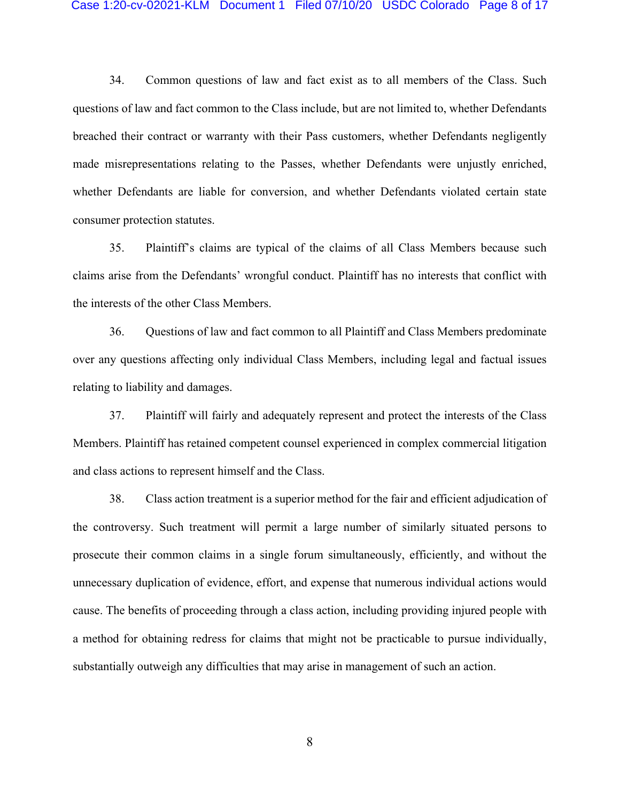#### Case 1:20-cv-02021-KLM Document 1 Filed 07/10/20 USDC Colorado Page 8 of 17

34. Common questions of law and fact exist as to all members of the Class. Such questions of law and fact common to the Class include, but are not limited to, whether Defendants breached their contract or warranty with their Pass customers, whether Defendants negligently made misrepresentations relating to the Passes, whether Defendants were unjustly enriched, whether Defendants are liable for conversion, and whether Defendants violated certain state consumer protection statutes.

35. Plaintiff's claims are typical of the claims of all Class Members because such claims arise from the Defendants' wrongful conduct. Plaintiff has no interests that conflict with the interests of the other Class Members.

36. Questions of law and fact common to all Plaintiff and Class Members predominate over any questions affecting only individual Class Members, including legal and factual issues relating to liability and damages.

37. Plaintiff will fairly and adequately represent and protect the interests of the Class Members. Plaintiff has retained competent counsel experienced in complex commercial litigation and class actions to represent himself and the Class.

38. Class action treatment is a superior method for the fair and efficient adjudication of the controversy. Such treatment will permit a large number of similarly situated persons to prosecute their common claims in a single forum simultaneously, efficiently, and without the unnecessary duplication of evidence, effort, and expense that numerous individual actions would cause. The benefits of proceeding through a class action, including providing injured people with a method for obtaining redress for claims that might not be practicable to pursue individually, substantially outweigh any difficulties that may arise in management of such an action.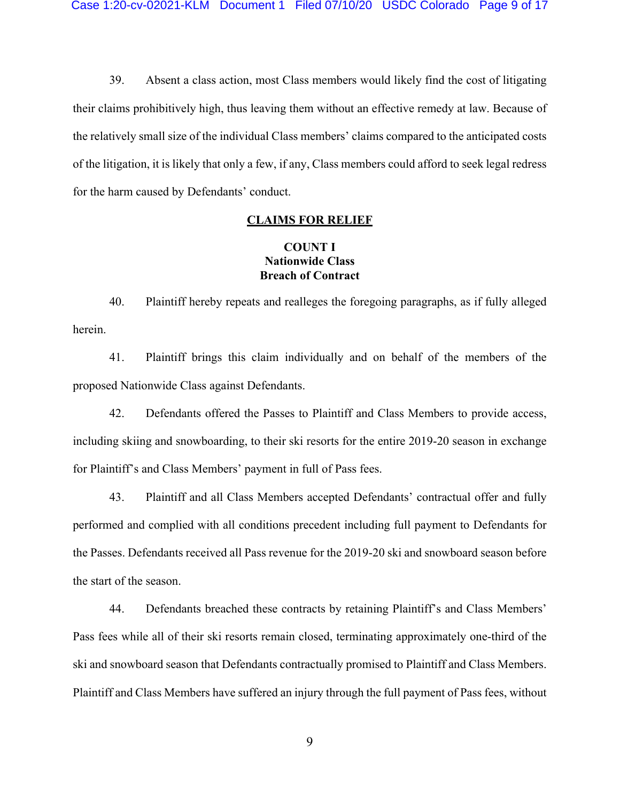39. Absent a class action, most Class members would likely find the cost of litigating their claims prohibitively high, thus leaving them without an effective remedy at law. Because of the relatively small size of the individual Class members' claims compared to the anticipated costs of the litigation, it is likely that only a few, if any, Class members could afford to seek legal redress for the harm caused by Defendants' conduct.

### **CLAIMS FOR RELIEF**

## **COUNT I Nationwide Class Breach of Contract**

40. Plaintiff hereby repeats and realleges the foregoing paragraphs, as if fully alleged herein.

41. Plaintiff brings this claim individually and on behalf of the members of the proposed Nationwide Class against Defendants.

42. Defendants offered the Passes to Plaintiff and Class Members to provide access, including skiing and snowboarding, to their ski resorts for the entire 2019-20 season in exchange for Plaintiff's and Class Members' payment in full of Pass fees.

43. Plaintiff and all Class Members accepted Defendants' contractual offer and fully performed and complied with all conditions precedent including full payment to Defendants for the Passes. Defendants received all Pass revenue for the 2019-20 ski and snowboard season before the start of the season.

44. Defendants breached these contracts by retaining Plaintiff's and Class Members' Pass fees while all of their ski resorts remain closed, terminating approximately one-third of the ski and snowboard season that Defendants contractually promised to Plaintiff and Class Members. Plaintiff and Class Members have suffered an injury through the full payment of Pass fees, without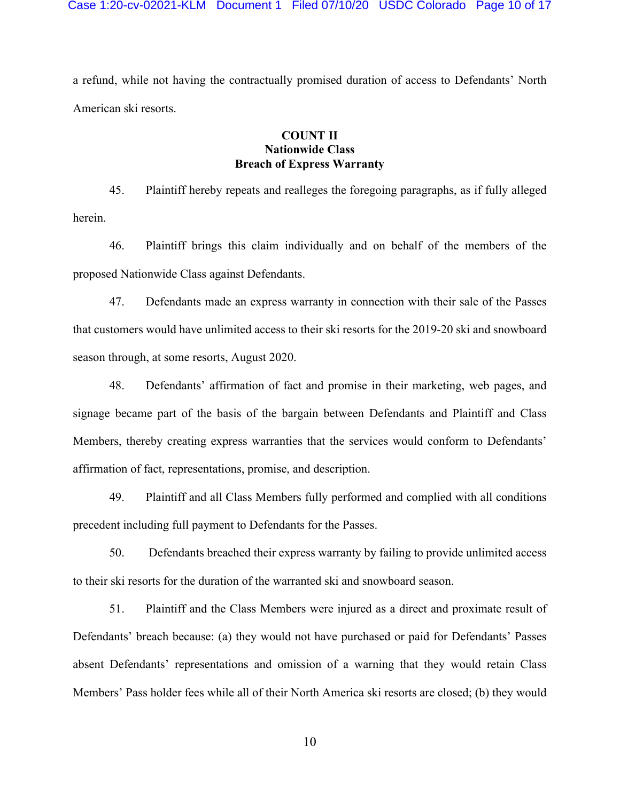a refund, while not having the contractually promised duration of access to Defendants' North American ski resorts.

## **COUNT II Nationwide Class Breach of Express Warranty**

45. Plaintiff hereby repeats and realleges the foregoing paragraphs, as if fully alleged herein.

46. Plaintiff brings this claim individually and on behalf of the members of the proposed Nationwide Class against Defendants.

47. Defendants made an express warranty in connection with their sale of the Passes that customers would have unlimited access to their ski resorts for the 2019-20 ski and snowboard season through, at some resorts, August 2020.

48. Defendants' affirmation of fact and promise in their marketing, web pages, and signage became part of the basis of the bargain between Defendants and Plaintiff and Class Members, thereby creating express warranties that the services would conform to Defendants' affirmation of fact, representations, promise, and description.

49. Plaintiff and all Class Members fully performed and complied with all conditions precedent including full payment to Defendants for the Passes.

50. Defendants breached their express warranty by failing to provide unlimited access to their ski resorts for the duration of the warranted ski and snowboard season.

51. Plaintiff and the Class Members were injured as a direct and proximate result of Defendants' breach because: (a) they would not have purchased or paid for Defendants' Passes absent Defendants' representations and omission of a warning that they would retain Class Members' Pass holder fees while all of their North America ski resorts are closed; (b) they would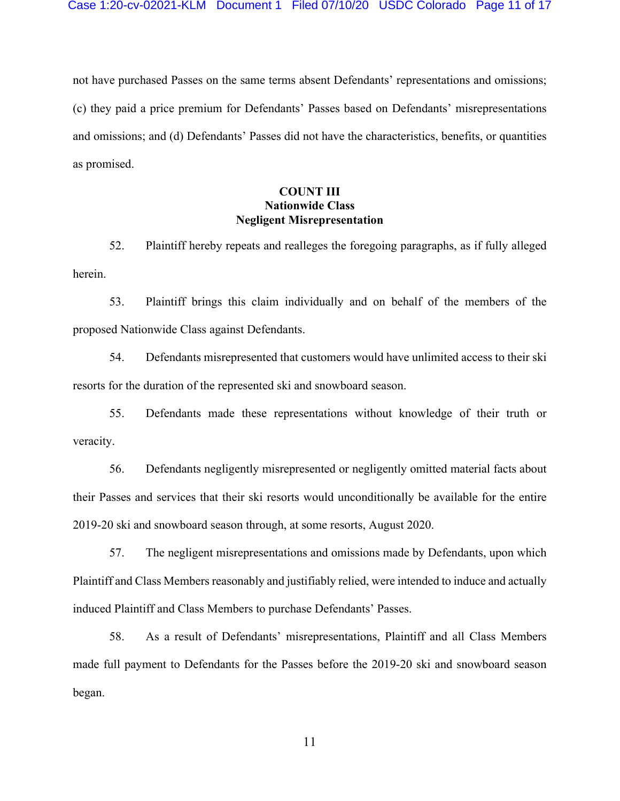not have purchased Passes on the same terms absent Defendants' representations and omissions; (c) they paid a price premium for Defendants' Passes based on Defendants' misrepresentations and omissions; and (d) Defendants' Passes did not have the characteristics, benefits, or quantities as promised.

# **COUNT III Nationwide Class Negligent Misrepresentation**

52. Plaintiff hereby repeats and realleges the foregoing paragraphs, as if fully alleged herein.

53. Plaintiff brings this claim individually and on behalf of the members of the proposed Nationwide Class against Defendants.

54. Defendants misrepresented that customers would have unlimited access to their ski resorts for the duration of the represented ski and snowboard season.

55. Defendants made these representations without knowledge of their truth or veracity.

56. Defendants negligently misrepresented or negligently omitted material facts about their Passes and services that their ski resorts would unconditionally be available for the entire 2019-20 ski and snowboard season through, at some resorts, August 2020.

57. The negligent misrepresentations and omissions made by Defendants, upon which Plaintiff and Class Members reasonably and justifiably relied, were intended to induce and actually induced Plaintiff and Class Members to purchase Defendants' Passes.

58. As a result of Defendants' misrepresentations, Plaintiff and all Class Members made full payment to Defendants for the Passes before the 2019-20 ski and snowboard season began.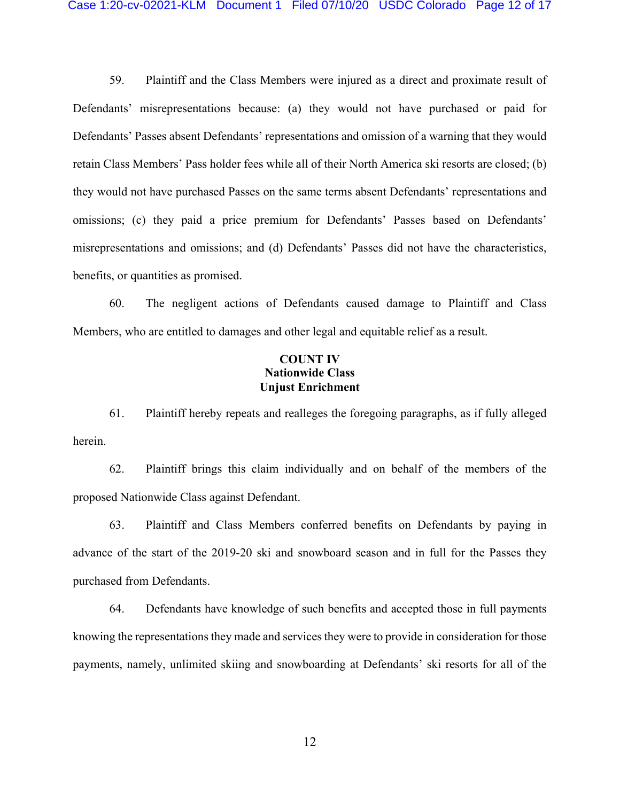59. Plaintiff and the Class Members were injured as a direct and proximate result of Defendants' misrepresentations because: (a) they would not have purchased or paid for Defendants' Passes absent Defendants' representations and omission of a warning that they would retain Class Members' Pass holder fees while all of their North America ski resorts are closed; (b) they would not have purchased Passes on the same terms absent Defendants' representations and omissions; (c) they paid a price premium for Defendants' Passes based on Defendants' misrepresentations and omissions; and (d) Defendants' Passes did not have the characteristics, benefits, or quantities as promised.

60. The negligent actions of Defendants caused damage to Plaintiff and Class Members, who are entitled to damages and other legal and equitable relief as a result.

## **COUNT IV Nationwide Class Unjust Enrichment**

61. Plaintiff hereby repeats and realleges the foregoing paragraphs, as if fully alleged herein.

62. Plaintiff brings this claim individually and on behalf of the members of the proposed Nationwide Class against Defendant.

63. Plaintiff and Class Members conferred benefits on Defendants by paying in advance of the start of the 2019-20 ski and snowboard season and in full for the Passes they purchased from Defendants.

64. Defendants have knowledge of such benefits and accepted those in full payments knowing the representations they made and services they were to provide in consideration for those payments, namely, unlimited skiing and snowboarding at Defendants' ski resorts for all of the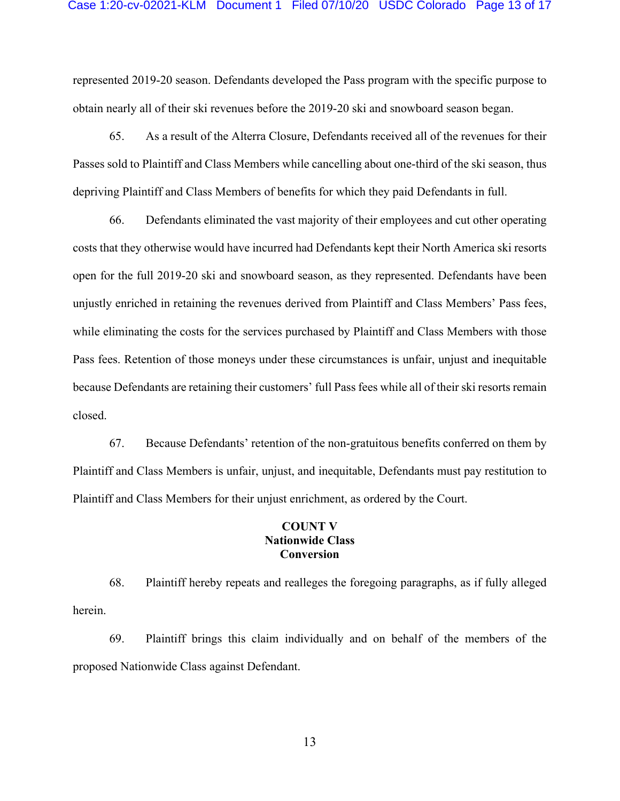#### Case 1:20-cv-02021-KLM Document 1 Filed 07/10/20 USDC Colorado Page 13 of 17

represented 2019-20 season. Defendants developed the Pass program with the specific purpose to obtain nearly all of their ski revenues before the 2019-20 ski and snowboard season began.

65. As a result of the Alterra Closure, Defendants received all of the revenues for their Passes sold to Plaintiff and Class Members while cancelling about one-third of the ski season, thus depriving Plaintiff and Class Members of benefits for which they paid Defendants in full.

66. Defendants eliminated the vast majority of their employees and cut other operating costs that they otherwise would have incurred had Defendants kept their North America ski resorts open for the full 2019-20 ski and snowboard season, as they represented. Defendants have been unjustly enriched in retaining the revenues derived from Plaintiff and Class Members' Pass fees, while eliminating the costs for the services purchased by Plaintiff and Class Members with those Pass fees. Retention of those moneys under these circumstances is unfair, unjust and inequitable because Defendants are retaining their customers' full Pass fees while all of their ski resorts remain closed.

67. Because Defendants' retention of the non-gratuitous benefits conferred on them by Plaintiff and Class Members is unfair, unjust, and inequitable, Defendants must pay restitution to Plaintiff and Class Members for their unjust enrichment, as ordered by the Court.

### **COUNT V Nationwide Class Conversion**

68. Plaintiff hereby repeats and realleges the foregoing paragraphs, as if fully alleged herein.

69. Plaintiff brings this claim individually and on behalf of the members of the proposed Nationwide Class against Defendant.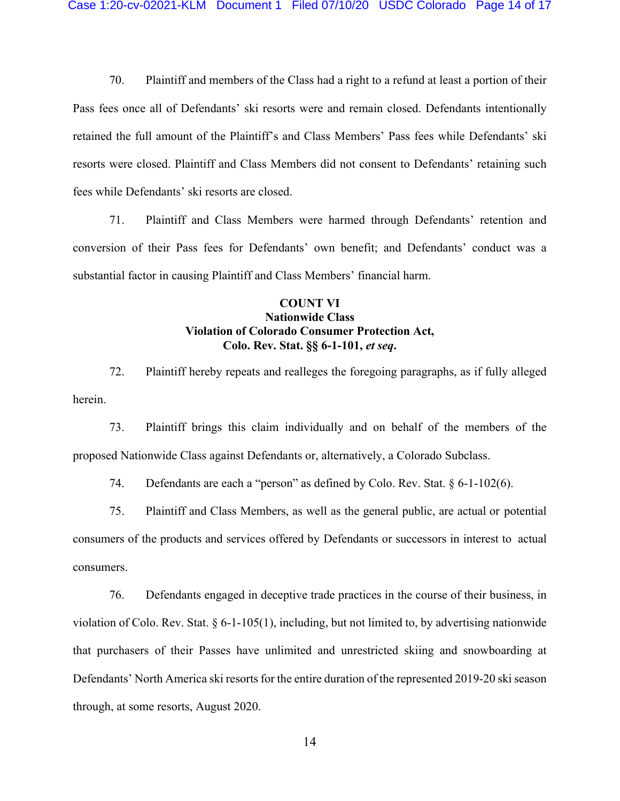70. Plaintiff and members of the Class had a right to a refund at least a portion of their Pass fees once all of Defendants' ski resorts were and remain closed. Defendants intentionally retained the full amount of the Plaintiff's and Class Members' Pass fees while Defendants' ski resorts were closed. Plaintiff and Class Members did not consent to Defendants' retaining such fees while Defendants' ski resorts are closed.

71. Plaintiff and Class Members were harmed through Defendants' retention and conversion of their Pass fees for Defendants' own benefit; and Defendants' conduct was a substantial factor in causing Plaintiff and Class Members' financial harm.

# **COUNT VI Nationwide Class Violation of Colorado Consumer Protection Act, Colo. Rev. Stat. §§ 6-1-101,** *et seq***.**

72. Plaintiff hereby repeats and realleges the foregoing paragraphs, as if fully alleged herein.

73. Plaintiff brings this claim individually and on behalf of the members of the proposed Nationwide Class against Defendants or, alternatively, a Colorado Subclass.

74. Defendants are each a "person" as defined by Colo. Rev. Stat. § 6-1-102(6).

75. Plaintiff and Class Members, as well as the general public, are actual or potential consumers of the products and services offered by Defendants or successors in interest to actual consumers.

76. Defendants engaged in deceptive trade practices in the course of their business, in violation of Colo. Rev. Stat. § 6-1-105(1), including, but not limited to, by advertising nationwide that purchasers of their Passes have unlimited and unrestricted skiing and snowboarding at Defendants' North America ski resorts for the entire duration of the represented 2019-20 ski season through, at some resorts, August 2020.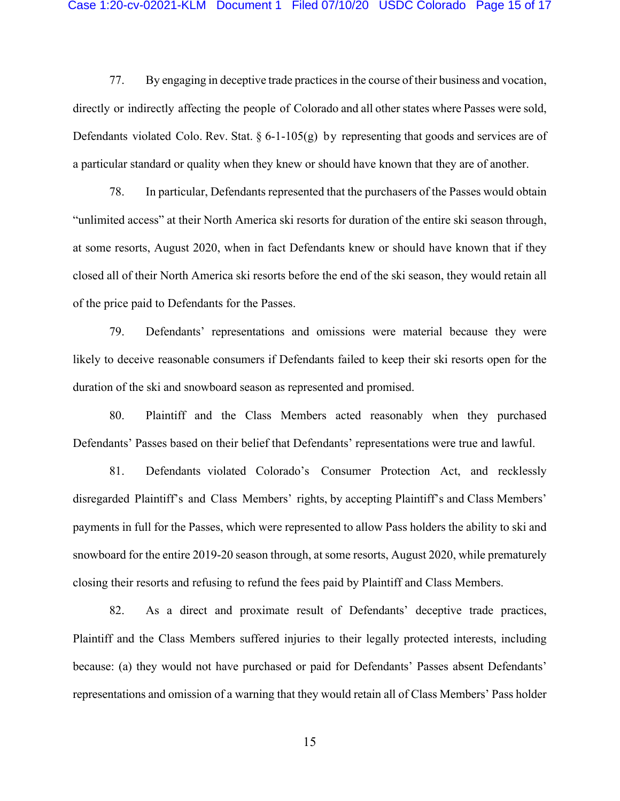#### Case 1:20-cv-02021-KLM Document 1 Filed 07/10/20 USDC Colorado Page 15 of 17

77. By engaging in deceptive trade practices in the course of their business and vocation, directly or indirectly affecting the people of Colorado and all other states where Passes were sold, Defendants violated Colo. Rev. Stat.  $\S 6$ -1-105(g) by representing that goods and services are of a particular standard or quality when they knew or should have known that they are of another.

78. In particular, Defendants represented that the purchasers of the Passes would obtain "unlimited access" at their North America ski resorts for duration of the entire ski season through, at some resorts, August 2020, when in fact Defendants knew or should have known that if they closed all of their North America ski resorts before the end of the ski season, they would retain all of the price paid to Defendants for the Passes.

79. Defendants' representations and omissions were material because they were likely to deceive reasonable consumers if Defendants failed to keep their ski resorts open for the duration of the ski and snowboard season as represented and promised.

80. Plaintiff and the Class Members acted reasonably when they purchased Defendants' Passes based on their belief that Defendants' representations were true and lawful.

81. Defendants violated Colorado's Consumer Protection Act, and recklessly disregarded Plaintiff's and Class Members' rights, by accepting Plaintiff's and Class Members' payments in full for the Passes, which were represented to allow Pass holders the ability to ski and snowboard for the entire 2019-20 season through, at some resorts, August 2020, while prematurely closing their resorts and refusing to refund the fees paid by Plaintiff and Class Members.

82. As a direct and proximate result of Defendants' deceptive trade practices, Plaintiff and the Class Members suffered injuries to their legally protected interests, including because: (a) they would not have purchased or paid for Defendants' Passes absent Defendants' representations and omission of a warning that they would retain all of Class Members' Pass holder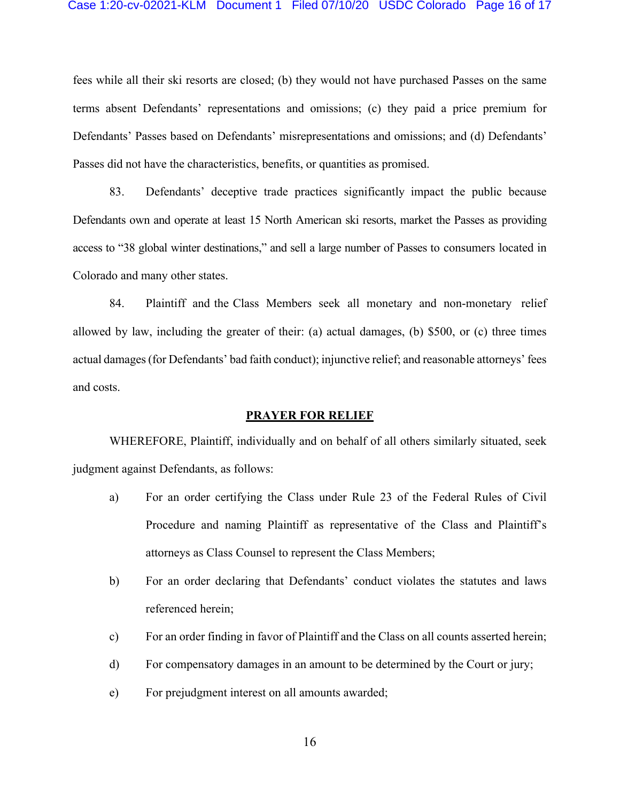### Case 1:20-cv-02021-KLM Document 1 Filed 07/10/20 USDC Colorado Page 16 of 17

fees while all their ski resorts are closed; (b) they would not have purchased Passes on the same terms absent Defendants' representations and omissions; (c) they paid a price premium for Defendants' Passes based on Defendants' misrepresentations and omissions; and (d) Defendants' Passes did not have the characteristics, benefits, or quantities as promised.

83. Defendants' deceptive trade practices significantly impact the public because Defendants own and operate at least 15 North American ski resorts, market the Passes as providing access to "38 global winter destinations," and sell a large number of Passes to consumers located in Colorado and many other states.

84. Plaintiff and the Class Members seek all monetary and non-monetary relief allowed by law, including the greater of their: (a) actual damages, (b) \$500, or (c) three times actual damages(for Defendants' bad faith conduct); injunctive relief; and reasonable attorneys' fees and costs.

#### **PRAYER FOR RELIEF**

WHEREFORE, Plaintiff, individually and on behalf of all others similarly situated, seek judgment against Defendants, as follows:

- a) For an order certifying the Class under Rule 23 of the Federal Rules of Civil Procedure and naming Plaintiff as representative of the Class and Plaintiff's attorneys as Class Counsel to represent the Class Members;
- b) For an order declaring that Defendants' conduct violates the statutes and laws referenced herein;
- c) For an order finding in favor of Plaintiff and the Class on all counts asserted herein;
- d) For compensatory damages in an amount to be determined by the Court or jury;
- e) For prejudgment interest on all amounts awarded;